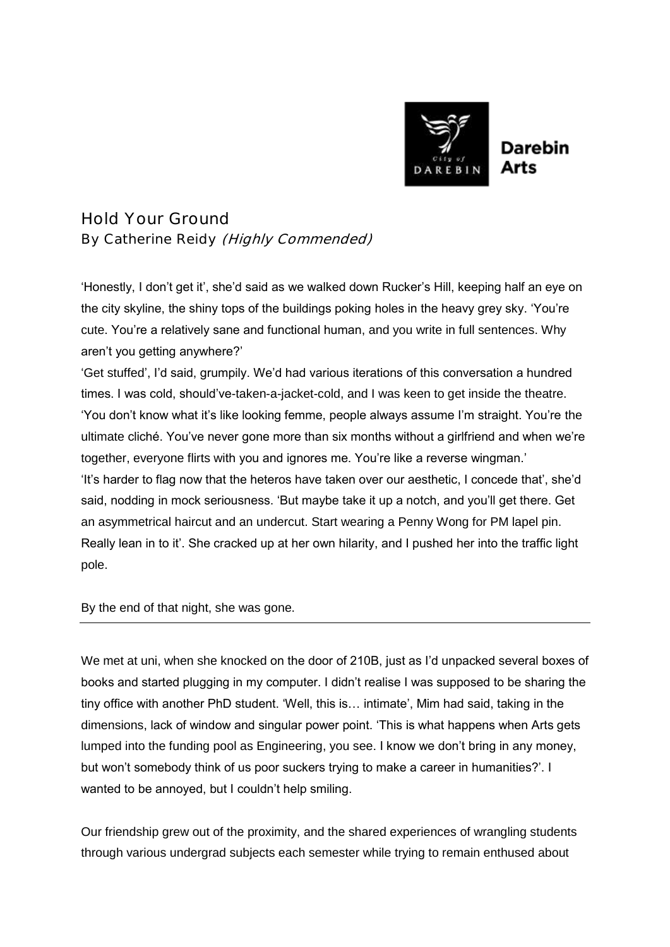

Hold Your Ground By Catherine Reidy (Highly Commended)

'Honestly, I don't get it', she'd said as we walked down Rucker's Hill, keeping half an eye on the city skyline, the shiny tops of the buildings poking holes in the heavy grey sky. 'You're cute. You're a relatively sane and functional human, and you write in full sentences. Why aren't you getting anywhere?'

'Get stuffed', I'd said, grumpily. We'd had various iterations of this conversation a hundred times. I was cold, should've-taken-a-jacket-cold, and I was keen to get inside the theatre. 'You don't know what it's like looking femme, people always assume I'm straight. You're the ultimate cliché. You've never gone more than six months without a girlfriend and when we're together, everyone flirts with you and ignores me. You're like a reverse wingman.' 'It's harder to flag now that the heteros have taken over our aesthetic, I concede that', she'd said, nodding in mock seriousness. 'But maybe take it up a notch, and you'll get there. Get an asymmetrical haircut and an undercut. Start wearing a Penny Wong for PM lapel pin. Really lean in to it'. She cracked up at her own hilarity, and I pushed her into the traffic light pole.

By the end of that night, she was gone.

We met at uni, when she knocked on the door of 210B, just as I'd unpacked several boxes of books and started plugging in my computer. I didn't realise I was supposed to be sharing the tiny office with another PhD student. 'Well, this is… intimate', Mim had said, taking in the dimensions, lack of window and singular power point. 'This is what happens when Arts gets lumped into the funding pool as Engineering, you see. I know we don't bring in any money, but won't somebody think of us poor suckers trying to make a career in humanities?'. I wanted to be annoyed, but I couldn't help smiling.

Our friendship grew out of the proximity, and the shared experiences of wrangling students through various undergrad subjects each semester while trying to remain enthused about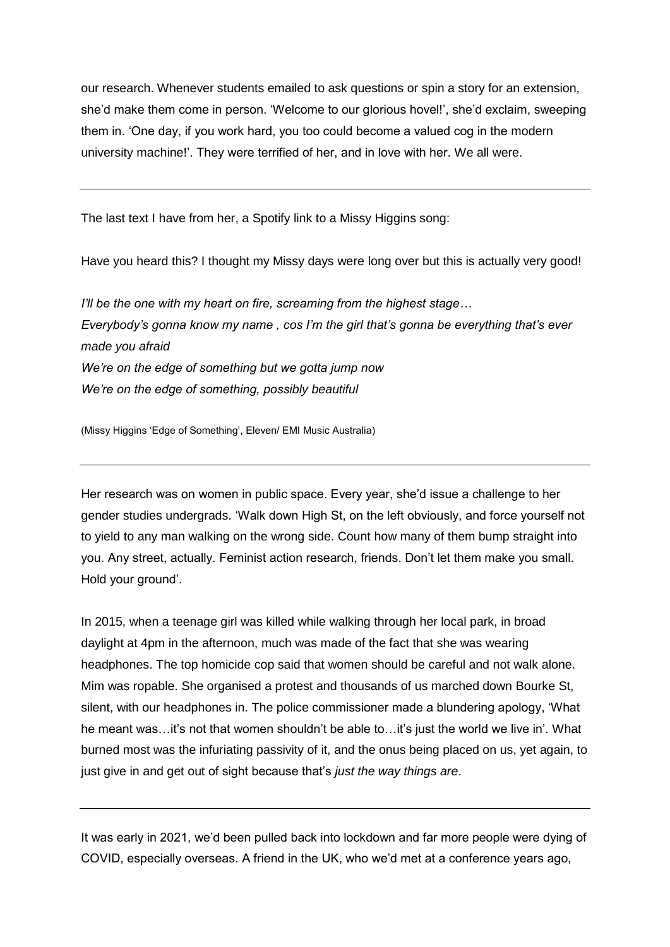our research. Whenever students emailed to ask questions or spin a story for an extension, she'd make them come in person. 'Welcome to our glorious hovel!', she'd exclaim, sweeping them in. 'One day, if you work hard, you too could become a valued cog in the modern university machine!'. They were terrified of her, and in love with her. We all were.

The last text I have from her, a Spotify link to a Missy Higgins song:

Have you heard this? I thought my Missy days were long over but this is actually very good!

*I'll be the one with my heart on fire, screaming from the highest stage… Everybody's gonna know my name , cos I'm the girl that's gonna be everything that's ever made you afraid We're on the edge of something but we gotta jump now We're on the edge of something, possibly beautiful* 

(Missy Higgins 'Edge of Something', Eleven/ EMI Music Australia)

Her research was on women in public space. Every year, she'd issue a challenge to her gender studies undergrads. 'Walk down High St, on the left obviously, and force yourself not to yield to any man walking on the wrong side. Count how many of them bump straight into you. Any street, actually. Feminist action research, friends. Don't let them make you small. Hold your ground'.

In 2015, when a teenage girl was killed while walking through her local park, in broad daylight at 4pm in the afternoon, much was made of the fact that she was wearing headphones. The top homicide cop said that women should be careful and not walk alone. Mim was ropable. She organised a protest and thousands of us marched down Bourke St, silent, with our headphones in. The police commissioner made a blundering apology, 'What he meant was...it's not that women shouldn't be able to...it's just the world we live in'. What burned most was the infuriating passivity of it, and the onus being placed on us, yet again, to just give in and get out of sight because that's *just the way things are*.

It was early in 2021, we'd been pulled back into lockdown and far more people were dying of COVID, especially overseas. A friend in the UK, who we'd met at a conference years ago,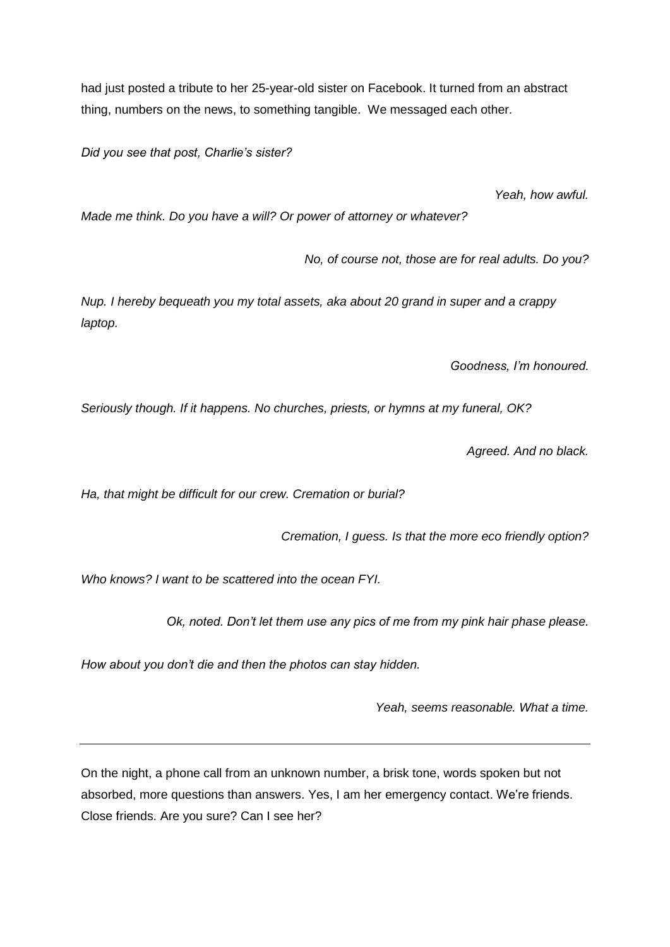had just posted a tribute to her 25-year-old sister on Facebook. It turned from an abstract thing, numbers on the news, to something tangible. We messaged each other.

*Did you see that post, Charlie's sister?*

*Yeah, how awful.* 

*Made me think. Do you have a will? Or power of attorney or whatever?*

*No, of course not, those are for real adults. Do you?*

*Nup. I hereby bequeath you my total assets, aka about 20 grand in super and a crappy laptop.* 

*Goodness, I'm honoured.*

*Seriously though. If it happens. No churches, priests, or hymns at my funeral, OK?*

*Agreed. And no black.* 

*Ha, that might be difficult for our crew. Cremation or burial?*

*Cremation, I guess. Is that the more eco friendly option?* 

*Who knows? I want to be scattered into the ocean FYI.*

*Ok, noted. Don't let them use any pics of me from my pink hair phase please.*

*How about you don't die and then the photos can stay hidden.* 

*Yeah, seems reasonable. What a time.* 

On the night, a phone call from an unknown number, a brisk tone, words spoken but not absorbed, more questions than answers. Yes, I am her emergency contact. We're friends. Close friends. Are you sure? Can I see her?